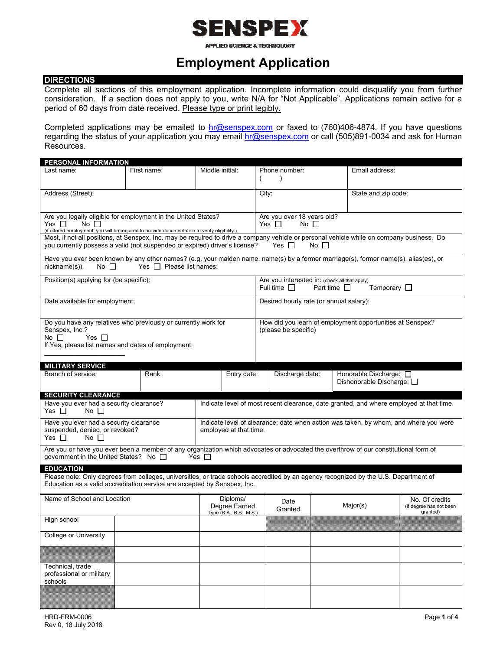

**APPLIED SCIENCE & TECHNOLOGY** 

## **Employment Application**

#### **DIRECTIONS**

Complete all sections of this employment application. Incomplete information could disqualify you from further consideration. If a section does not apply to you, write N/A for "Not Applicable". Applications remain active for a period of 60 days from date received. Please type or print legibly.

Completed applications may be emailed to **hr@senspex.com** or faxed to (760)406-4874. If you have questions regarding the status of your application you may email hr@senspex.com or call (505)891-0034 and ask for Human Resources.

| <b>PERSONAL INFORMATION</b>                                                                                                                                                                                                                                                                                                            |             |                 |                                                      |                                                                                      |                                                                                                           |                                                     |                                                       |  |  |
|----------------------------------------------------------------------------------------------------------------------------------------------------------------------------------------------------------------------------------------------------------------------------------------------------------------------------------------|-------------|-----------------|------------------------------------------------------|--------------------------------------------------------------------------------------|-----------------------------------------------------------------------------------------------------------|-----------------------------------------------------|-------------------------------------------------------|--|--|
| Last name:                                                                                                                                                                                                                                                                                                                             | First name: | Middle initial: |                                                      |                                                                                      | Phone number:<br>$\lambda$                                                                                | Email address:                                      |                                                       |  |  |
| Address (Street):                                                                                                                                                                                                                                                                                                                      |             |                 |                                                      | City:                                                                                |                                                                                                           | State and zip code:                                 |                                                       |  |  |
| Are you legally eligible for employment in the United States?<br>Yes $\Box$<br>No $\Box$<br>(if offered employment, you will be required to provide documentation to verify eligibility.)<br>Most, if not all positions, at Senspex, Inc. may be required to drive a company vehicle or personal vehicle while on company business. Do |             |                 |                                                      | Are you over 18 years old?<br>Yes $\Box$<br>No <sub>1</sub>                          |                                                                                                           |                                                     |                                                       |  |  |
| you currently possess a valid (not suspended or expired) driver's license?<br>Yes $\Box$<br>No $\Box$                                                                                                                                                                                                                                  |             |                 |                                                      |                                                                                      |                                                                                                           |                                                     |                                                       |  |  |
| Have you ever been known by any other names? (e.g. your maiden name, name(s) by a former marriage(s), former name(s), alias(es), or<br>Yes $\Box$ Please list names:<br>nickname(s)).<br>No $\Box$                                                                                                                                     |             |                 |                                                      |                                                                                      |                                                                                                           |                                                     |                                                       |  |  |
| Position(s) applying for (be specific):                                                                                                                                                                                                                                                                                                |             |                 |                                                      |                                                                                      | Are you interested in: (check all that apply)<br>Full time $\Box$<br>Part time $\Box$<br>Temporary $\Box$ |                                                     |                                                       |  |  |
| Date available for employment:                                                                                                                                                                                                                                                                                                         |             |                 |                                                      |                                                                                      | Desired hourly rate (or annual salary):                                                                   |                                                     |                                                       |  |  |
| Do you have any relatives who previously or currently work for<br>Senspex, Inc.?<br>No $\Box$<br>Yes $\Box$<br>If Yes, please list names and dates of employment:                                                                                                                                                                      |             |                 |                                                      | How did you learn of employment opportunities at Senspex?<br>(please be specific)    |                                                                                                           |                                                     |                                                       |  |  |
| <b>MILITARY SERVICE</b>                                                                                                                                                                                                                                                                                                                |             |                 |                                                      |                                                                                      |                                                                                                           |                                                     |                                                       |  |  |
| Branch of service:                                                                                                                                                                                                                                                                                                                     | Rank:       |                 | Entry date:                                          |                                                                                      | Discharge date:                                                                                           | Honorable Discharge: 0<br>Dishonorable Discharge: □ |                                                       |  |  |
| <b>SECURITY CLEARANCE</b>                                                                                                                                                                                                                                                                                                              |             |                 |                                                      |                                                                                      |                                                                                                           |                                                     |                                                       |  |  |
| Have you ever had a security clearance?<br>Indicate level of most recent clearance, date granted, and where employed at that time.<br>Yes $\square$<br>No $\Box$                                                                                                                                                                       |             |                 |                                                      |                                                                                      |                                                                                                           |                                                     |                                                       |  |  |
| Have you ever had a security clearance<br>suspended, denied, or revoked?<br>employed at that time.<br>No $\Box$<br>Yes $\Box$                                                                                                                                                                                                          |             |                 |                                                      | Indicate level of clearance; date when action was taken, by whom, and where you were |                                                                                                           |                                                     |                                                       |  |  |
| Are you or have you ever been a member of any organization which advocates or advocated the overthrow of our constitutional form of<br>government in the United States? No □<br>Yes $\Box$                                                                                                                                             |             |                 |                                                      |                                                                                      |                                                                                                           |                                                     |                                                       |  |  |
| <b>EDUCATION</b>                                                                                                                                                                                                                                                                                                                       |             |                 |                                                      |                                                                                      |                                                                                                           |                                                     |                                                       |  |  |
| Please note: Only degrees from colleges, universities, or trade schools accredited by an agency recognized by the U.S. Department of<br>Education as a valid accreditation service are accepted by Senspex, Inc.                                                                                                                       |             |                 |                                                      |                                                                                      |                                                                                                           |                                                     |                                                       |  |  |
| Name of School and Location                                                                                                                                                                                                                                                                                                            |             |                 | Diploma/<br>Degree Earned<br>Type (B.A., B.S., M.S.) |                                                                                      | Date<br>Granted                                                                                           | Major(s)                                            | No. Of credits<br>(if degree has not been<br>granted) |  |  |
| High school                                                                                                                                                                                                                                                                                                                            |             |                 |                                                      |                                                                                      |                                                                                                           |                                                     |                                                       |  |  |
| College or University                                                                                                                                                                                                                                                                                                                  |             |                 |                                                      |                                                                                      |                                                                                                           |                                                     |                                                       |  |  |
|                                                                                                                                                                                                                                                                                                                                        |             |                 |                                                      |                                                                                      |                                                                                                           |                                                     |                                                       |  |  |
| Technical, trade<br>professional or military<br>schools                                                                                                                                                                                                                                                                                |             |                 |                                                      |                                                                                      |                                                                                                           |                                                     |                                                       |  |  |
|                                                                                                                                                                                                                                                                                                                                        |             |                 |                                                      |                                                                                      |                                                                                                           |                                                     |                                                       |  |  |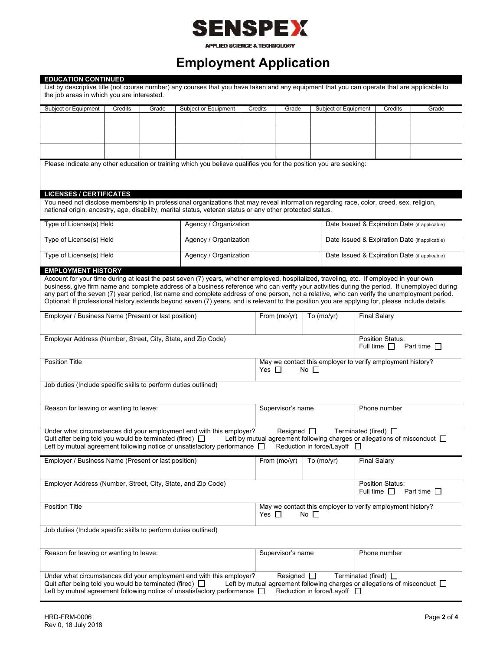

APPLIED SCIENCE & TECHNOLOGY

# **Employment Application**

| <b>EDUCATION CONTINUED</b>                                                                                    |         |       |                                                                                                                                                                                                                                                                                         |                                                                                       |                                      |                                  |                                               |                                                                                |                  |  |
|---------------------------------------------------------------------------------------------------------------|---------|-------|-----------------------------------------------------------------------------------------------------------------------------------------------------------------------------------------------------------------------------------------------------------------------------------------|---------------------------------------------------------------------------------------|--------------------------------------|----------------------------------|-----------------------------------------------|--------------------------------------------------------------------------------|------------------|--|
| the job areas in which you are interested.                                                                    |         |       | List by descriptive title (not course number) any courses that you have taken and any equipment that you can operate that are applicable to                                                                                                                                             |                                                                                       |                                      |                                  |                                               |                                                                                |                  |  |
| Subject or Equipment                                                                                          | Credits | Grade | Subject or Equipment                                                                                                                                                                                                                                                                    | Credits                                                                               | Grade                                |                                  | Subject or Equipment                          | Credits                                                                        | Grade            |  |
|                                                                                                               |         |       |                                                                                                                                                                                                                                                                                         |                                                                                       |                                      |                                  |                                               |                                                                                |                  |  |
|                                                                                                               |         |       |                                                                                                                                                                                                                                                                                         |                                                                                       |                                      |                                  |                                               |                                                                                |                  |  |
|                                                                                                               |         |       |                                                                                                                                                                                                                                                                                         |                                                                                       |                                      |                                  |                                               |                                                                                |                  |  |
|                                                                                                               |         |       |                                                                                                                                                                                                                                                                                         |                                                                                       |                                      |                                  |                                               |                                                                                |                  |  |
|                                                                                                               |         |       | Please indicate any other education or training which you believe qualifies you for the position you are seeking:                                                                                                                                                                       |                                                                                       |                                      |                                  |                                               |                                                                                |                  |  |
|                                                                                                               |         |       |                                                                                                                                                                                                                                                                                         |                                                                                       |                                      |                                  |                                               |                                                                                |                  |  |
|                                                                                                               |         |       |                                                                                                                                                                                                                                                                                         |                                                                                       |                                      |                                  |                                               |                                                                                |                  |  |
| <b>LICENSES / CERTIFICATES</b>                                                                                |         |       |                                                                                                                                                                                                                                                                                         |                                                                                       |                                      |                                  |                                               |                                                                                |                  |  |
|                                                                                                               |         |       | You need not disclose membership in professional organizations that may reveal information regarding race, color, creed, sex, religion,<br>national origin, ancestry, age, disability, marital status, veteran status or any other protected status.                                    |                                                                                       |                                      |                                  |                                               |                                                                                |                  |  |
|                                                                                                               |         |       |                                                                                                                                                                                                                                                                                         |                                                                                       |                                      |                                  |                                               |                                                                                |                  |  |
| Type of License(s) Held                                                                                       |         |       | Agency / Organization                                                                                                                                                                                                                                                                   |                                                                                       |                                      |                                  |                                               | Date Issued & Expiration Date (if applicable)                                  |                  |  |
| Type of License(s) Held                                                                                       |         |       | Agency / Organization                                                                                                                                                                                                                                                                   |                                                                                       |                                      |                                  |                                               | Date Issued & Expiration Date (if applicable)                                  |                  |  |
| Type of License(s) Held                                                                                       |         |       | Agency / Organization                                                                                                                                                                                                                                                                   |                                                                                       |                                      |                                  |                                               |                                                                                |                  |  |
|                                                                                                               |         |       |                                                                                                                                                                                                                                                                                         |                                                                                       |                                      |                                  | Date Issued & Expiration Date (if applicable) |                                                                                |                  |  |
| <b>EMPLOYMENT HISTORY</b>                                                                                     |         |       |                                                                                                                                                                                                                                                                                         |                                                                                       |                                      |                                  |                                               |                                                                                |                  |  |
|                                                                                                               |         |       | Account for your time during at least the past seven (7) years, whether employed, hospitalized, traveling, etc. If employed in your own<br>business, give firm name and complete address of a business reference who can verify your activities during the period. If unemployed during |                                                                                       |                                      |                                  |                                               |                                                                                |                  |  |
|                                                                                                               |         |       | any part of the seven (7) year period, list name and complete address of one person, not a relative, who can verify the unemployment period.                                                                                                                                            |                                                                                       |                                      |                                  |                                               |                                                                                |                  |  |
|                                                                                                               |         |       | Optional: If professional history extends beyond seven (7) years, and is relevant to the position you are applying for, please include details.                                                                                                                                         |                                                                                       |                                      |                                  |                                               |                                                                                |                  |  |
| Employer / Business Name (Present or last position)                                                           |         |       |                                                                                                                                                                                                                                                                                         |                                                                                       | From (mo/yr)                         | To (mo/yr)                       |                                               | <b>Final Salary</b>                                                            |                  |  |
|                                                                                                               |         |       |                                                                                                                                                                                                                                                                                         |                                                                                       |                                      |                                  |                                               |                                                                                |                  |  |
|                                                                                                               |         |       |                                                                                                                                                                                                                                                                                         |                                                                                       |                                      |                                  |                                               | Position Status:                                                               |                  |  |
| Employer Address (Number, Street, City, State, and Zip Code)                                                  |         |       |                                                                                                                                                                                                                                                                                         |                                                                                       | Full time $\Box$<br>Part time $\Box$ |                                  |                                               |                                                                                |                  |  |
|                                                                                                               |         |       |                                                                                                                                                                                                                                                                                         |                                                                                       |                                      |                                  |                                               |                                                                                |                  |  |
| <b>Position Title</b>                                                                                         |         |       |                                                                                                                                                                                                                                                                                         | May we contact this employer to verify employment history?<br>Yes $\Box$<br>No $\Box$ |                                      |                                  |                                               |                                                                                |                  |  |
|                                                                                                               |         |       |                                                                                                                                                                                                                                                                                         |                                                                                       |                                      |                                  |                                               |                                                                                |                  |  |
| Job duties (Include specific skills to perform duties outlined)                                               |         |       |                                                                                                                                                                                                                                                                                         |                                                                                       |                                      |                                  |                                               |                                                                                |                  |  |
|                                                                                                               |         |       |                                                                                                                                                                                                                                                                                         |                                                                                       |                                      |                                  |                                               |                                                                                |                  |  |
| Reason for leaving or wanting to leave:                                                                       |         |       |                                                                                                                                                                                                                                                                                         | Supervisor's name                                                                     |                                      |                                  | Phone number                                  |                                                                                |                  |  |
|                                                                                                               |         |       |                                                                                                                                                                                                                                                                                         |                                                                                       |                                      |                                  |                                               |                                                                                |                  |  |
|                                                                                                               |         |       | Under what circumstances did your employment end with this employer?                                                                                                                                                                                                                    |                                                                                       | Resigned $\Box$                      |                                  | Terminated (fired) [                          |                                                                                |                  |  |
| Quit after being told you would be terminated (fired) $\Box$                                                  |         |       | Left by mutual agreement following notice of unsatisfactory performance $\Box$                                                                                                                                                                                                          |                                                                                       |                                      | Reduction in force/Layoff $\Box$ |                                               | Left by mutual agreement following charges or allegations of misconduct $\Box$ |                  |  |
|                                                                                                               |         |       |                                                                                                                                                                                                                                                                                         |                                                                                       |                                      |                                  |                                               |                                                                                |                  |  |
| Employer / Business Name (Present or last position)                                                           |         |       |                                                                                                                                                                                                                                                                                         |                                                                                       | From (mo/yr)                         | To (mo/yr)                       |                                               | <b>Final Salary</b>                                                            |                  |  |
|                                                                                                               |         |       |                                                                                                                                                                                                                                                                                         |                                                                                       |                                      |                                  |                                               |                                                                                |                  |  |
| Employer Address (Number, Street, City, State, and Zip Code)                                                  |         |       |                                                                                                                                                                                                                                                                                         |                                                                                       |                                      |                                  |                                               | Position Status:                                                               |                  |  |
|                                                                                                               |         |       |                                                                                                                                                                                                                                                                                         |                                                                                       |                                      |                                  |                                               | Full time $\Box$                                                               | Part time $\Box$ |  |
| <b>Position Title</b>                                                                                         |         |       |                                                                                                                                                                                                                                                                                         |                                                                                       |                                      |                                  |                                               | May we contact this employer to verify employment history?                     |                  |  |
|                                                                                                               |         |       |                                                                                                                                                                                                                                                                                         |                                                                                       | Yes $\Box$                           | No $\Box$                        |                                               |                                                                                |                  |  |
| Job duties (Include specific skills to perform duties outlined)                                               |         |       |                                                                                                                                                                                                                                                                                         |                                                                                       |                                      |                                  |                                               |                                                                                |                  |  |
|                                                                                                               |         |       |                                                                                                                                                                                                                                                                                         |                                                                                       |                                      |                                  |                                               |                                                                                |                  |  |
| Reason for leaving or wanting to leave:                                                                       |         |       |                                                                                                                                                                                                                                                                                         | Supervisor's name                                                                     |                                      |                                  | Phone number                                  |                                                                                |                  |  |
|                                                                                                               |         |       |                                                                                                                                                                                                                                                                                         |                                                                                       |                                      |                                  |                                               |                                                                                |                  |  |
|                                                                                                               |         |       | Under what circumstances did your employment end with this employer?                                                                                                                                                                                                                    |                                                                                       | Resigned $\Box$                      |                                  | Terminated (fired) □                          |                                                                                |                  |  |
| Quit after being told you would be terminated (fired) $\Box$                                                  |         |       |                                                                                                                                                                                                                                                                                         |                                                                                       |                                      |                                  |                                               | Left by mutual agreement following charges or allegations of misconduct $\Box$ |                  |  |
| Left by mutual agreement following notice of unsatisfactory performance $\Box$<br>Reduction in force/Layoff □ |         |       |                                                                                                                                                                                                                                                                                         |                                                                                       |                                      |                                  |                                               |                                                                                |                  |  |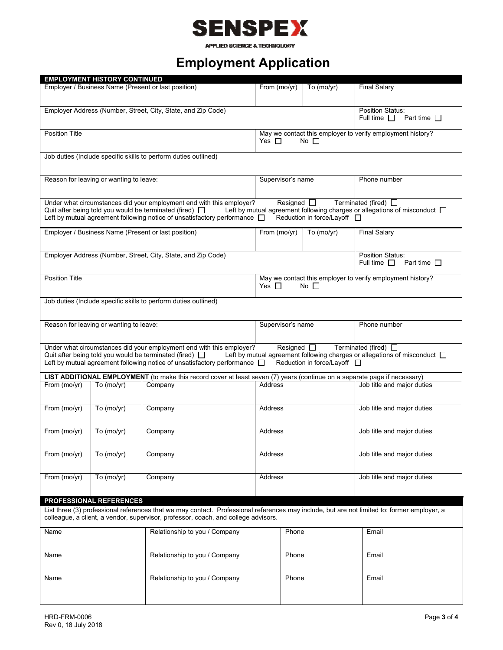

APPLIED SCIENCE & TECHNOLOGY

# **Employment Application**

|                                                                                                                                                                                                                                                                                                                                                                                    | <b>EMPLOYMENT HISTORY CONTINUED</b>     |                                                                                                                                                                                                                        |                                                                                                                                                          |                                                                                       |                                                                 |  |  |
|------------------------------------------------------------------------------------------------------------------------------------------------------------------------------------------------------------------------------------------------------------------------------------------------------------------------------------------------------------------------------------|-----------------------------------------|------------------------------------------------------------------------------------------------------------------------------------------------------------------------------------------------------------------------|----------------------------------------------------------------------------------------------------------------------------------------------------------|---------------------------------------------------------------------------------------|-----------------------------------------------------------------|--|--|
|                                                                                                                                                                                                                                                                                                                                                                                    |                                         | Employer / Business Name (Present or last position)                                                                                                                                                                    | From (mo/yr)                                                                                                                                             | To (mo/yr)                                                                            | <b>Final Salary</b>                                             |  |  |
| Employer Address (Number, Street, City, State, and Zip Code)<br>Position Status:<br>Full time $\Box$                                                                                                                                                                                                                                                                               |                                         |                                                                                                                                                                                                                        |                                                                                                                                                          |                                                                                       | Part time $\,\Box\,$                                            |  |  |
| <b>Position Title</b>                                                                                                                                                                                                                                                                                                                                                              |                                         |                                                                                                                                                                                                                        | May we contact this employer to verify employment history?<br>Yes $\Box$<br>$No$ $\Box$                                                                  |                                                                                       |                                                                 |  |  |
| Job duties (Include specific skills to perform duties outlined)                                                                                                                                                                                                                                                                                                                    |                                         |                                                                                                                                                                                                                        |                                                                                                                                                          |                                                                                       |                                                                 |  |  |
| Reason for leaving or wanting to leave:                                                                                                                                                                                                                                                                                                                                            |                                         |                                                                                                                                                                                                                        | Supervisor's name                                                                                                                                        |                                                                                       | Phone number                                                    |  |  |
|                                                                                                                                                                                                                                                                                                                                                                                    |                                         | Under what circumstances did your employment end with this employer?<br>Quit after being told you would be terminated (fired) $\Box$<br>Left by mutual agreement following notice of unsatisfactory performance $\Box$ | Terminated (fired) □<br>Resigned $\Box$<br>Left by mutual agreement following charges or allegations of misconduct $\Box$<br>Reduction in force/Layoff □ |                                                                                       |                                                                 |  |  |
|                                                                                                                                                                                                                                                                                                                                                                                    |                                         | Employer / Business Name (Present or last position)                                                                                                                                                                    | From (mo/yr)                                                                                                                                             | To $(mo/yr)$                                                                          | <b>Final Salary</b>                                             |  |  |
| Employer Address (Number, Street, City, State, and Zip Code)                                                                                                                                                                                                                                                                                                                       |                                         |                                                                                                                                                                                                                        |                                                                                                                                                          |                                                                                       | <b>Position Status:</b><br>Full time $\Box$<br>Part time $\Box$ |  |  |
| <b>Position Title</b>                                                                                                                                                                                                                                                                                                                                                              |                                         |                                                                                                                                                                                                                        |                                                                                                                                                          | May we contact this employer to verify employment history?<br>Yes $\Box$<br>No $\Box$ |                                                                 |  |  |
| Job duties (Include specific skills to perform duties outlined)                                                                                                                                                                                                                                                                                                                    |                                         |                                                                                                                                                                                                                        |                                                                                                                                                          |                                                                                       |                                                                 |  |  |
|                                                                                                                                                                                                                                                                                                                                                                                    | Reason for leaving or wanting to leave: |                                                                                                                                                                                                                        |                                                                                                                                                          | Supervisor's name                                                                     | Phone number                                                    |  |  |
| Under what circumstances did your employment end with this employer?<br>Resigned $\Box$<br>Terminated (fired) $\Box$<br>Quit after being told you would be terminated (fired) $\Box$<br>Left by mutual agreement following charges or allegations of misconduct [<br>Left by mutual agreement following notice of unsatisfactory performance $\Box$<br>Reduction in force/Layoff □ |                                         |                                                                                                                                                                                                                        |                                                                                                                                                          |                                                                                       |                                                                 |  |  |
| LIST ADDITIONAL EMPLOYMENT (to make this record cover at least seven (7) years (continue on a separate page if necessary)                                                                                                                                                                                                                                                          |                                         |                                                                                                                                                                                                                        |                                                                                                                                                          |                                                                                       |                                                                 |  |  |
| From (mo/yr)                                                                                                                                                                                                                                                                                                                                                                       | To (mo/yr)                              | Company                                                                                                                                                                                                                | <b>Address</b>                                                                                                                                           |                                                                                       | Job title and major duties                                      |  |  |
| From (mo/yr)                                                                                                                                                                                                                                                                                                                                                                       | To $(mo/vr)$                            | Company                                                                                                                                                                                                                | Address                                                                                                                                                  |                                                                                       | Job title and major duties                                      |  |  |
| From (mo/yr)                                                                                                                                                                                                                                                                                                                                                                       | To (mo/yr)                              | Company                                                                                                                                                                                                                | Address                                                                                                                                                  |                                                                                       | Job title and major duties                                      |  |  |
| From (mo/yr)                                                                                                                                                                                                                                                                                                                                                                       | To (mo/yr)                              | Company                                                                                                                                                                                                                | <b>Address</b>                                                                                                                                           |                                                                                       | Job title and major duties                                      |  |  |
| From (mo/yr)                                                                                                                                                                                                                                                                                                                                                                       | To (mo/yr)                              | Company                                                                                                                                                                                                                | Address                                                                                                                                                  |                                                                                       | Job title and major duties                                      |  |  |
|                                                                                                                                                                                                                                                                                                                                                                                    |                                         |                                                                                                                                                                                                                        |                                                                                                                                                          |                                                                                       |                                                                 |  |  |
| PROFESSIONAL REFERENCES                                                                                                                                                                                                                                                                                                                                                            |                                         |                                                                                                                                                                                                                        |                                                                                                                                                          |                                                                                       |                                                                 |  |  |
| List three (3) professional references that we may contact. Professional references may include, but are not limited to: former employer, a<br>colleague, a client, a vendor, supervisor, professor, coach, and college advisors.                                                                                                                                                  |                                         |                                                                                                                                                                                                                        |                                                                                                                                                          |                                                                                       |                                                                 |  |  |
| Name                                                                                                                                                                                                                                                                                                                                                                               | Relationship to you / Company           |                                                                                                                                                                                                                        | Phone                                                                                                                                                    |                                                                                       | Email                                                           |  |  |
| Name                                                                                                                                                                                                                                                                                                                                                                               | Relationship to you / Company           |                                                                                                                                                                                                                        | Phone                                                                                                                                                    |                                                                                       | Email                                                           |  |  |
| Name                                                                                                                                                                                                                                                                                                                                                                               |                                         | Relationship to you / Company                                                                                                                                                                                          | Phone                                                                                                                                                    |                                                                                       | Email                                                           |  |  |
|                                                                                                                                                                                                                                                                                                                                                                                    |                                         |                                                                                                                                                                                                                        |                                                                                                                                                          |                                                                                       |                                                                 |  |  |